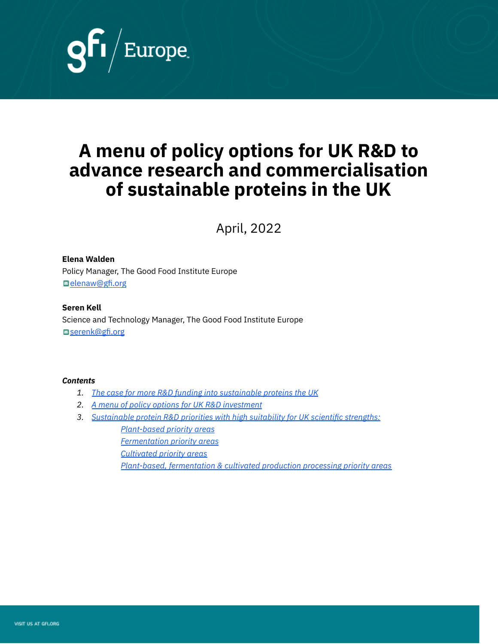

# **A menu of policy options for UK R&D to advance research and commercialisation of sustainable proteins in the UK**

April, 2022

**Elena Walden**

Policy Manager, The Good Food Institute Europe D[elenaw@gfi.org](mailto:elenaw@gfi.org)

**Seren Kell** Science and Technology Manager, The Good Food Institute Europe [serenk@gfi.org](mailto:serenk@gfi.org)

#### *Contents*

- *1. The case for more R&D funding into [sustainable](#page-1-0) proteins the UK*
- *2. A menu of policy options for UK R&D [investment](#page-2-0)*
- *3. Sustainable protein R&D priorities with high suitability for UK scientific strengths: Plant-based priority areas [Fermentation](#page-5-0) priority areas [Cultivated](#page-7-0) priority areas [Plant-based,](#page-11-0) fermentation & cultivated production processing priority areas*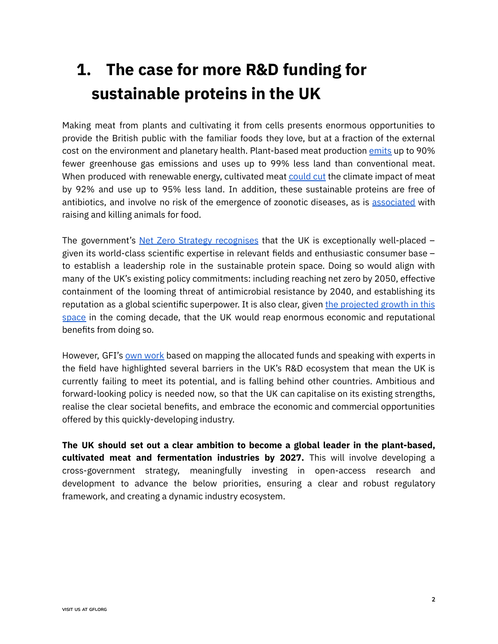# <span id="page-1-0"></span>**1. The case for more R&D funding for sustainable proteins in the UK**

Making meat from plants and cultivating it from cells presents enormous opportunities to provide the British public with the familiar foods they love, but at a fraction of the external cost on the environment and planetary health. Plant-based meat production [emits](https://gfi.org/images/uploads/2019/08/GFI-Plant-Based-Meat-Fact-Sheet_Environmental-Comparison.pdf?utm_source=blog&utm_medium=website&utm_campaign=pb-meat-sustainability.pdf) up to 90% fewer greenhouse gas emissions and uses up to 99% less land than conventional meat. When produced with renewable energy, cultivated meat [could](https://cedelft.eu/wp-content/uploads/sites/2/2021/04/CE_Delft_190107_LCA_of_cultivated_meat_Def.pdf) cut the climate impact of meat by 92% and use up to 95% less land. In addition, these sustainable proteins are free of antibiotics, and involve no risk of the emergence of zoonotic diseases, as is [associated](https://news.un.org/en/story/2020/07/1067711) with raising and killing animals for food.

The government's Net Zero Strategy [recognises](https://assets.publishing.service.gov.uk/government/uploads/system/uploads/attachment_data/file/1033990/net-zero-strategy-beis.pdf#page=175) that the UK is exceptionally well-placed – given its world-class scientific expertise in relevant fields and enthusiastic consumer base – to establish a leadership role in the sustainable protein space. Doing so would align with many of the UK's existing policy commitments: including reaching net zero by 2050, effective containment of the looming threat of antimicrobial resistance by 2040, and establishing its reputation as a global scientific superpower. It is also clear, given the [projected](https://drive.google.com/file/d/1znkFETI5HHNA1UBeT1KgPDV4JZI30QL5/view) growth in this [space](https://drive.google.com/file/d/1znkFETI5HHNA1UBeT1KgPDV4JZI30QL5/view) in the coming decade, that the UK would reap enormous economic and reputational benefits from doing so.

However, GFI's own [work](https://drive.google.com/file/d/1IwImUcCTP1K48hOVkpm7IU71-nsTyRF5/view?usp=sharing) based on mapping the allocated funds and speaking with experts in the field have highlighted several barriers in the UK's R&D ecosystem that mean the UK is currently failing to meet its potential, and is falling behind other countries. Ambitious and forward-looking policy is needed now, so that the UK can capitalise on its existing strengths, realise the clear societal benefits, and embrace the economic and commercial opportunities offered by this quickly-developing industry.

**The UK should set out a clear ambition to become a global leader in the plant-based, cultivated meat and fermentation industries by 2027.** This will involve developing a cross-government strategy, meaningfully investing in open-access research and development to advance the below priorities, ensuring a clear and robust regulatory framework, and creating a dynamic industry ecosystem.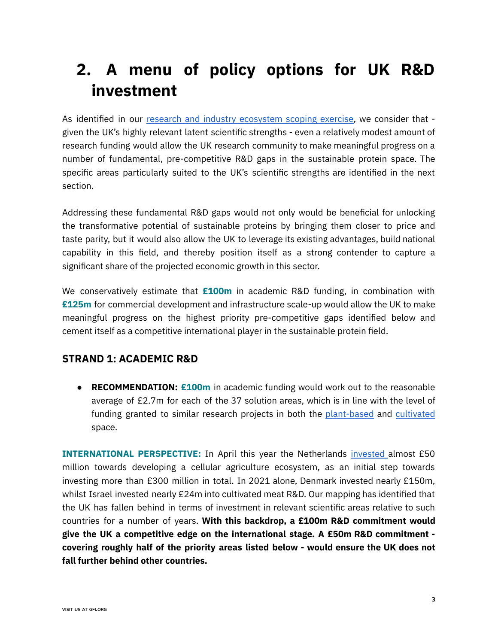# <span id="page-2-0"></span>**2. A menu of policy options for UK R&D investment**

As identified in our research and industry [ecosystem](https://drive.google.com/file/d/19G3OVv_fNrygqCsEUa8AoVG6b6Zki3lt/view) scoping exercise, we consider that given the UK's highly relevant latent scientific strengths - even a relatively modest amount of research funding would allow the UK research community to make meaningful progress on a number of fundamental, pre-competitive R&D gaps in the sustainable protein space. The specific areas particularly suited to the UK's scientific strengths are identified in the next section.

Addressing these fundamental R&D gaps would not only would be beneficial for unlocking the transformative potential of sustainable proteins by bringing them closer to price and taste parity, but it would also allow the UK to leverage its existing advantages, build national capability in this field, and thereby position itself as a strong contender to capture a significant share of the projected economic growth in this sector.

We conservatively estimate that **£100m** in academic R&D funding, in combination with **£125m** for commercial development and infrastructure scale-up would allow the UK to make meaningful progress on the highest priority pre-competitive gaps identified below and cement itself as a competitive international player in the sustainable protein field.

## **STRAND 1: ACADEMIC R&D**

● **RECOMMENDATION: £100m** in academic funding would work out to the reasonable average of £2.7m for each of the 37 solution areas, which is in line with the level of funding granted to similar research projects in both the [plant-based](https://cordis.europa.eu/project/id/QLK1-CT-2002-02235) and [cultivated](https://cordis.europa.eu/project/id/101010029) space.

**INTERNATIONAL PERSPECTIVE:** In April this year the Netherlands [invested](https://www.foodingredientsfirst.com/news/dutch-government-invests-record-%E2%82%AC60m-to-boost-cellular-meat-agriculture.html) almost £50 million towards developing a cellular agriculture ecosystem, as an initial step towards investing more than £300 million in total. In 2021 alone, Denmark invested nearly £150m, whilst Israel invested nearly £24m into cultivated meat R&D. Our mapping has identified that the UK has fallen behind in terms of investment in relevant scientific areas relative to such countries for a number of years. **With this backdrop, a £100m R&D commitment would give the UK a competitive edge on the international stage. A £50m R&D commitment covering roughly half of the priority areas listed below - would ensure the UK does not fall further behind other countries.**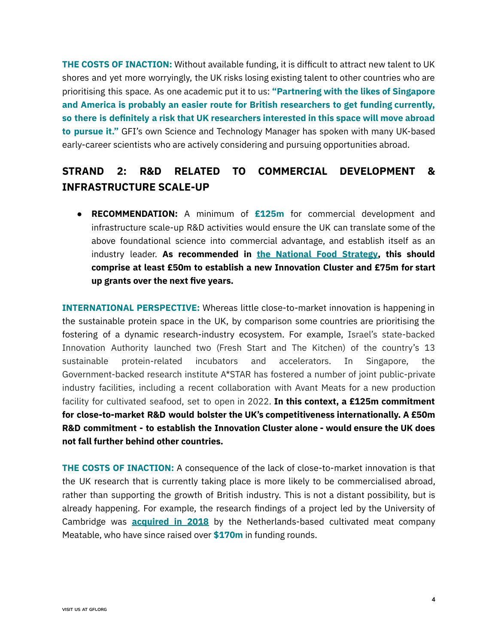**THE COSTS OF INACTION:** Without available funding, it is difficult to attract new talent to UK shores and yet more worryingly, the UK risks losing existing talent to other countries who are prioritising this space. As one academic put it to us: **"Partnering with the likes of Singapore and America is probably an easier route for British researchers to get funding currently, so there is definitely a risk that UK researchers interested in this space will move abroad to pursue it."** GFI's own Science and Technology Manager has spoken with many UK-based early-career scientists who are actively considering and pursuing opportunities abroad.

## **STRAND 2: R&D RELATED TO COMMERCIAL DEVELOPMENT & INFRASTRUCTURE SCALE-UP**

● **RECOMMENDATION:** A minimum of **£125m** for commercial development and infrastructure scale-up R&D activities would ensure the UK can translate some of the above foundational science into commercial advantage, and establish itself as an industry leader. **As recommended in the National Food [Strategy,](https://www.nationalfoodstrategy.org/) this should comprise at least £50m to establish a new Innovation Cluster and £75m for start up grants over the next five years.**

**INTERNATIONAL PERSPECTIVE:** Whereas little close-to-market innovation is happening in the sustainable protein space in the UK, by comparison some countries are prioritising the fostering of a dynamic research-industry ecosystem. For example, Israel's state-backed Innovation Authority launched two (Fresh Start and The Kitchen) of the country's 13 sustainable protein-related incubators and accelerators. In Singapore, the Government-backed research institute A\*STAR has fostered a number of joint public-private industry facilities, including a recent collaboration with Avant Meats for a new production facility for cultivated seafood, set to open in 2022. **In this context, a £125m commitment for close-to-market R&D would bolster the UK's competitiveness internationally. A £50m R&D commitment - to establish the Innovation Cluster alone - would ensure the UK does not fall further behind other countries.**

**THE COSTS OF INACTION:** A consequence of the lack of close-to-market innovation is that the UK research that is currently taking place is more likely to be commercialised abroad, rather than supporting the growth of British industry. This is not a distant possibility, but is already happening. For example, the research findings of a project led by the University of Cambridge was **[acquired](https://www.businessweekly.co.uk/news/biomedtech/cambridge-tech-produce-meat-lab-and-end-associated-animal-slaughter) in 2018** by the Netherlands-based cultivated meat company Meatable, who have since raised over **\$170m** in funding rounds.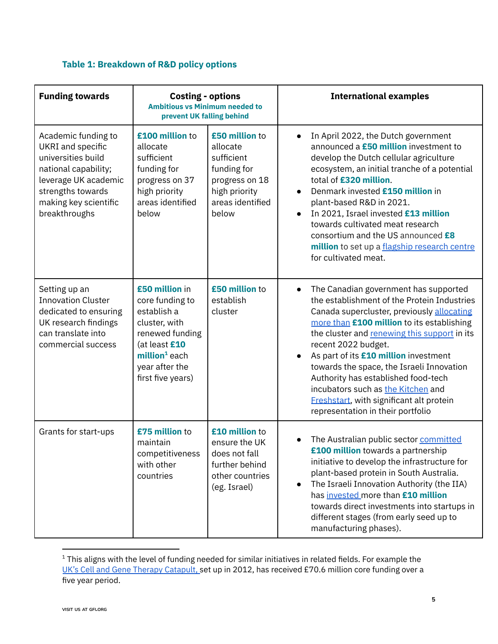## **Table 1: Breakdown of R&D policy options**

| <b>Funding towards</b>                                                                                                                                                               | <b>Costing - options</b><br><b>Ambitious vs Minimum needed to</b><br>prevent UK falling behind                                                                            |                                                                                                                         | <b>International examples</b>                                                                                                                                                                                                                                                                                                                                                                                                                                                                                                           |
|--------------------------------------------------------------------------------------------------------------------------------------------------------------------------------------|---------------------------------------------------------------------------------------------------------------------------------------------------------------------------|-------------------------------------------------------------------------------------------------------------------------|-----------------------------------------------------------------------------------------------------------------------------------------------------------------------------------------------------------------------------------------------------------------------------------------------------------------------------------------------------------------------------------------------------------------------------------------------------------------------------------------------------------------------------------------|
| Academic funding to<br><b>UKRI</b> and specific<br>universities build<br>national capability;<br>leverage UK academic<br>strengths towards<br>making key scientific<br>breakthroughs | £100 million to<br>allocate<br>sufficient<br>funding for<br>progress on 37<br>high priority<br>areas identified<br>below                                                  | £50 million to<br>allocate<br>sufficient<br>funding for<br>progress on 18<br>high priority<br>areas identified<br>below | In April 2022, the Dutch government<br>announced a £50 million investment to<br>develop the Dutch cellular agriculture<br>ecosystem, an initial tranche of a potential<br>total of £320 million.<br>Denmark invested £150 million in<br>plant-based R&D in 2021.<br>In 2021, Israel invested £13 million<br>towards cultivated meat research<br>consortium and the US announced £8<br>million to set up a flagship research centre<br>for cultivated meat.                                                                              |
| Setting up an<br><b>Innovation Cluster</b><br>dedicated to ensuring<br>UK research findings<br>can translate into<br>commercial success                                              | £50 million in<br>core funding to<br>establish a<br>cluster, with<br>renewed funding<br>(at least £10<br>million <sup>1</sup> each<br>year after the<br>first five years) | £50 million to<br>establish<br>cluster                                                                                  | The Canadian government has supported<br>$\bullet$<br>the establishment of the Protein Industries<br>Canada supercluster, previously allocating<br>more than £100 million to its establishing<br>the cluster and renewing this support in its<br>recent 2022 budget.<br>As part of its <b>£10 million</b> investment<br>towards the space, the Israeli Innovation<br>Authority has established food-tech<br>incubators such as the Kitchen and<br><b>Freshstart</b> , with significant alt protein<br>representation in their portfolio |
| Grants for start-ups                                                                                                                                                                 | £75 million to<br>maintain<br>competitiveness<br>with other<br>countries                                                                                                  | £10 million to<br>ensure the UK<br>does not fall<br>further behind<br>other countries<br>(eg. Israel)                   | The Australian public sector committed<br>£100 million towards a partnership<br>initiative to develop the infrastructure for<br>plant-based protein in South Australia.<br>The Israeli Innovation Authority (the IIA)<br>$\bullet$<br>has invested more than £10 million<br>towards direct investments into startups in<br>different stages (from early seed up to<br>manufacturing phases).                                                                                                                                            |

 $^{\rm 1}$  This aligns with the level of funding needed for similar initiatives in related fields. For example the UK's Cell and Gene Therapy [Catapult,](https://assets.publishing.service.gov.uk/government/uploads/system/uploads/attachment_data/file/975595/catapult-network-review-april-2021.pdf#page=32) set up in 2012, has received £70.6 million core funding over a five year period.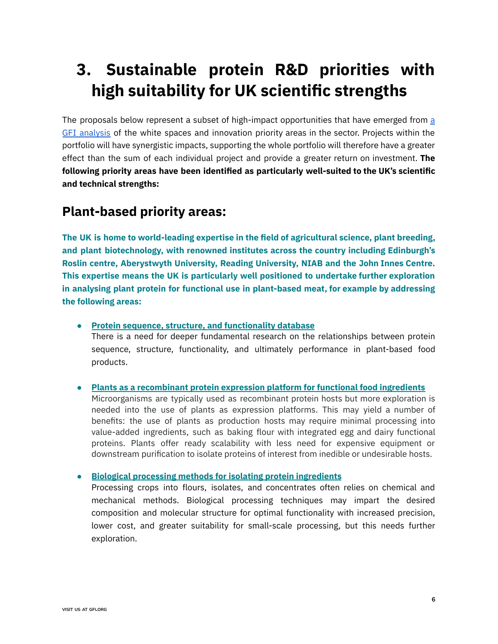# **3. Sustainable protein R&D priorities with high suitability for UK scientific strengths**

The propos[a](http://gfi.org/solutions)ls below represent a subset of high-impact opportunities that have emerged from a GFI [analysis](http://gfi.org/solutions) of the white spaces and innovation priority areas in the sector. Projects within the portfolio will have synergistic impacts, supporting the whole portfolio will therefore have a greater effect than the sum of each individual project and provide a greater return on investment. **The following priority areas have been identified as particularly well-suited to the UK's scientific and technical strengths:**

# **Plant-based priority areas:**

**The UK is home to world-leading expertise in the field of agricultural science, plant breeding, and plant biotechnology, with renowned institutes across the country including Edinburgh's Roslin centre, Aberystwyth University, Reading University, NIAB and the John Innes Centre. This expertise means the UK is particularly well positioned to undertake further exploration in analysing plant protein for functional use in plant-based meat, for example by addressing the following areas:**

#### **● Protein sequence, structure, and [functionality](https://gfi.org/solutions/protein-database/) database**

There is a need for deeper fundamental research on the relationships between protein sequence, structure, functionality, and ultimately performance in plant-based food products.

#### **● Plants as a [recombinant](https://gfi.org/solutions/plants-as-a-recombinant-protein-expression-platform-for-functional-food-ingredients/) protein expression platform for functional food ingredients**

Microorganisms are typically used as recombinant protein hosts but more exploration is needed into the use of plants as expression platforms. This may yield a number of benefits: the use of plants as production hosts may require minimal processing into value-added ingredients, such as baking flour with integrated egg and dairy functional proteins. Plants offer ready scalability with less need for expensive equipment or downstream purification to isolate proteins of interest from inedible or undesirable hosts.

#### **● Biological processing methods for isolating protein [ingredients](https://gfi.org/solutions/biological-processing-methods/)**

<span id="page-5-0"></span>Processing crops into flours, isolates, and concentrates often relies on chemical and mechanical methods. Biological processing techniques may impart the desired composition and molecular structure for optimal functionality with increased precision, lower cost, and greater suitability for small-scale processing, but this needs further exploration.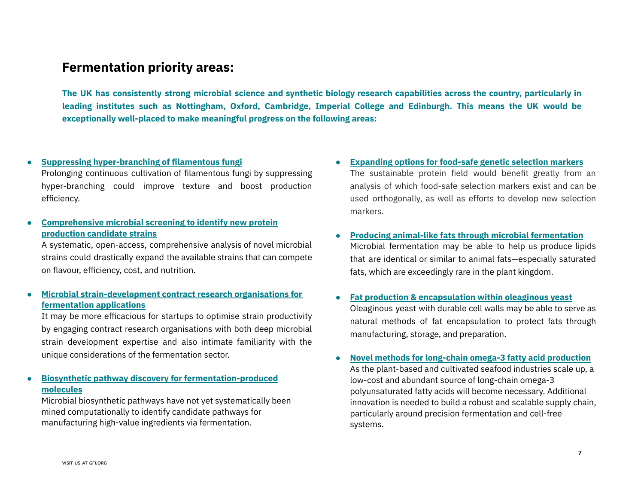## **Fermentation priority areas:**

The UK has consistently strong microbial science and synthetic biology research capabilities across the country, particularly in leading institutes such as Nottingham, Oxford, Cambridge, Imperial College and Edinburgh. This means the UK would be **exceptionally well-placed to make meaningful progress on the following areas:**

#### **● Suppressing [hyper-branching](https://gfi.org/solutions/suppressing-hyper-branching-of-filamentous-fungi/) of filamentous fungi**

Prolonging continuous cultivation of filamentous fungi by suppressing hyper-branching could improve texture and boost production efficiency.

## **● [Comprehensive](https://gfi.org/solutions/comprehensive-microbial-screening-to-identify-new-protein-production-candidate-strains/) microbial screening to identify new protein [production](https://gfi.org/solutions/comprehensive-microbial-screening-to-identify-new-protein-production-candidate-strains/) candidate strains**

A systematic, open-access, comprehensive analysis of novel microbial strains could drastically expand the available strains that can compete on flavour, efficiency, cost, and nutrition.

### **● Microbial [strain-development](https://gfi.org/solutions/microbial-strain-development-contract-research-organizations/) contract research organisations for [fermentation](https://gfi.org/solutions/microbial-strain-development-contract-research-organizations/) applications**

It may be more efficacious for startups to optimise strain productivity by engaging contract research organisations with both deep microbial strain development expertise and also intimate familiarity with the unique considerations of the fermentation sector.

## **● Biosynthetic pathway discovery for [fermentation-produced](https://gfi.org/solutions/biosynthetic-pathway-discovery-for-fermentation-produced-molecules/) [molecules](https://gfi.org/solutions/biosynthetic-pathway-discovery-for-fermentation-produced-molecules/)**

Microbial biosynthetic pathways have not yet systematically been mined computationally to identify candidate pathways for manufacturing high-value ingredients via fermentation.

- **● [Expanding](https://gfi.org/solutions/food-safe-genetic-selection-markers/) options for food-safe genetic selection markers** The sustainable protein field would benefit greatly from an analysis of which food-safe selection markers exist and can be used orthogonally, as well as efforts to develop new selection markers.
- **● Producing animal-like fats through microbial [fermentation](https://gfi.org/solutions/producing-animal-like-fats-through-microbial-fermentation/)** Microbial fermentation may be able to help us produce lipids that are identical or similar to animal fats—especially saturated fats, which are exceedingly rare in the plant kingdom.
- **● Fat production & [encapsulation](https://gfi.org/solutions/fat-production-encapsulation-oleaginous-yeast/) within oleaginous yeast** Oleaginous yeast with durable cell walls may be able to serve as natural methods of fat encapsulation to protect fats through manufacturing, storage, and preparation.
- **● Novel methods for long-chain omega-3 fatty acid [production](https://gfi.org/solutions/omega-3-novel-methods/)** As the plant-based and cultivated seafood industries scale up, a low-cost and abundant source of long-chain omega-3 polyunsaturated fatty acids will become necessary. Additional innovation is needed to build a robust and scalable supply chain, particularly around precision fermentation and cell-free systems.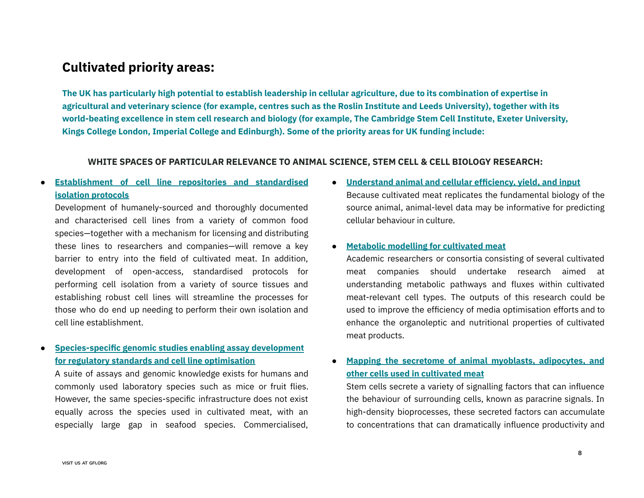## **Cultivated priority areas:**

The UK has particularly high potential to establish leadership in cellular agriculture, due to its combination of expertise in agricultural and veterinary science (for example, centres such as the Roslin Institute and Leeds University), together with its world-beating excellence in stem cell research and biology (for example, The Cambridge Stem Cell Institute, Exeter University, **Kings College London, Imperial College and Edinburgh). Some of the priority areas for UK funding include:**

#### **WHITE SPACES OF PARTICULAR RELEVANCE TO ANIMAL SCIENCE, STEM CELL & CELL BIOLOGY RESEARCH:**

## **● [Establishment](https://gfi.org/solutions/establishment-of-cell-line-repositories-and-standardized-isolation-protocols/) of cell line repositories and standardised isolation [protocols](https://gfi.org/solutions/establishment-of-cell-line-repositories-and-standardized-isolation-protocols/)**

<span id="page-7-0"></span>Development of humanely-sourced and thoroughly documented and characterised cell lines from a variety of common food species—together with a mechanism for licensing and distributing these lines to researchers and companies—will remove a key barrier to entry into the field of cultivated meat. In addition, development of open-access, standardised protocols for performing cell isolation from a variety of source tissues and establishing robust cell lines will streamline the processes for those who do end up needing to perform their own isolation and cell line establishment.

## **● [Species-specific](https://gfi.org/solutions/species-specific-genomic-studies-enabling-assay-development-for-regulatory-standards-and-cell-line-optimization/) genomic studies enabling assay development for regulatory standards and cell line [optimisation](https://gfi.org/solutions/species-specific-genomic-studies-enabling-assay-development-for-regulatory-standards-and-cell-line-optimization/)**

A suite of assays and genomic knowledge exists for humans and commonly used laboratory species such as mice or fruit flies. However, the same species-specific infrastructure does not exist equally across the species used in cultivated meat, with an especially large gap in seafood species. Commercialised, **● [Understand](https://gfi.org/solutions/understand-animal-and-cellular-efficiency-yield-and-input/) animal and cellular efficiency, yield, and input** Because cultivated meat replicates the fundamental biology of the source animal, animal-level data may be informative for predicting cellular behaviour in culture.

#### **● Metabolic modelling for [cultivated](https://gfi.org/solutions/metabolic-modeling-for-cultivated-meat/) meat**

Academic researchers or consortia consisting of several cultivated meat companies should undertake research aimed at understanding metabolic pathways and fluxes within cultivated meat-relevant cell types. The outputs of this research could be used to improve the efficiency of media optimisation efforts and to enhance the organoleptic and nutritional properties of cultivated meat products.

## **● Mapping the secretome of animal myoblasts, [adipocytes,](https://gfi.org/solutions/mapping-the-secretome-of-animal-myoblasts-adipocytes-and-other-cells-used-in-cultivated-meat/) and other cells used in [cultivated](https://gfi.org/solutions/mapping-the-secretome-of-animal-myoblasts-adipocytes-and-other-cells-used-in-cultivated-meat/) meat**

Stem cells secrete a variety of signalling factors that can influence the behaviour of surrounding cells, known as paracrine signals. In high-density bioprocesses, these secreted factors can accumulate to concentrations that can dramatically influence productivity and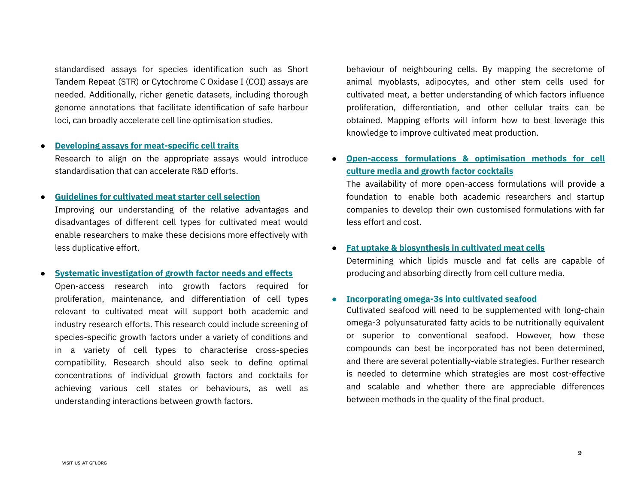standardised assays for species identification such as Short Tandem Repeat (STR) or Cytochrome C Oxidase I (COI) assays are needed. Additionally, richer genetic datasets, including thorough genome annotations that facilitate identification of safe harbour loci, can broadly accelerate cell line optimisation studies.

#### **● Developing assays for [meat-specific](https://gfi.org/solutions/assays-for-meat-specific-cell-traits/) cell traits**

Research to align on the appropriate assays would introduce standardisation that can accelerate R&D efforts.

#### **● [Guidelines](https://gfi.org/solutions/guidelines-for-cultivated-meat-starter-cell-selection/) for cultivated meat starter cell selection**

Improving our understanding of the relative advantages and disadvantages of different cell types for cultivated meat would enable researchers to make these decisions more effectively with less duplicative effort.

#### **● Systematic [investigation](https://gfi.org/solutions/systematic-investigation-of-growth-factor-needs-and-effects/) of growth factor needs and effects**

Open-access research into growth factors required for proliferation, maintenance, and differentiation of cell types relevant to cultivated meat will support both academic and industry research efforts. This research could include screening of species-specific growth factors under a variety of conditions and in a variety of cell types to characterise cross-species compatibility. Research should also seek to define optimal concentrations of individual growth factors and cocktails for achieving various cell states or behaviours, as well as understanding interactions between growth factors.

behaviour of neighbouring cells. By mapping the secretome of animal myoblasts, adipocytes, and other stem cells used for cultivated meat, a better understanding of which factors influence proliferation, differentiation, and other cellular traits can be obtained. Mapping efforts will inform how to best leverage this knowledge to improve cultivated meat production.

## **● [Open-access](https://gfi.org/solutions/open-access-formulation-for-cell-culture-media/) formulations & optimisation methods for cell culture media and growth factor [cocktails](https://gfi.org/solutions/open-access-formulation-for-cell-culture-media/)**

The availability of more open-access formulations will provide a foundation to enable both academic researchers and startup companies to develop their own customised formulations with far less effort and cost.

#### **● Fat uptake & [biosynthesis](https://gfi.org/solutions/fat-uptake-biosynthesis-cultivated/) in cultivated meat cells**

Determining which lipids muscle and fat cells are capable of producing and absorbing directly from cell culture media.

#### **● [Incorporating](https://gfi.org/solutions/incorporating-omega-3s-into-cultivated-seafood/) omega-3s into cultivated seafood**

Cultivated seafood will need to be supplemented with long-chain omega-3 polyunsaturated fatty acids to be nutritionally equivalent or superior to conventional seafood. However, how these compounds can best be incorporated has not been determined, and there are several potentially-viable strategies. Further research is needed to determine which strategies are most cost-effective and scalable and whether there are appreciable differences between methods in the quality of the final product.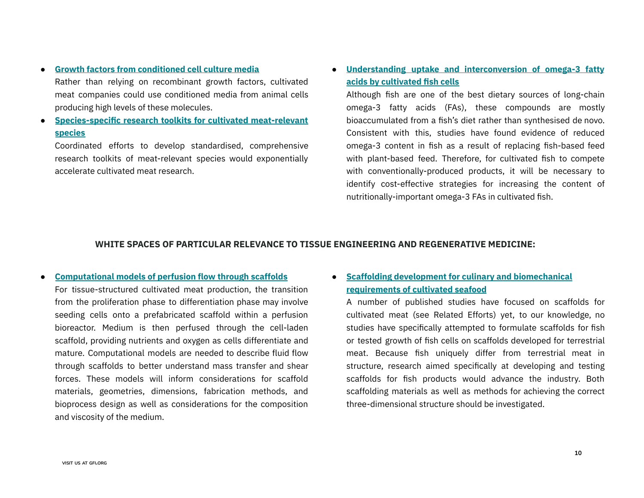#### **● Growth factors from [conditioned](https://gfi.org/solutions/growth-factors-from-conditioned-cell-culture-media/) cell culture media**

Rather than relying on recombinant growth factors, cultivated meat companies could use conditioned media from animal cells producing high levels of these molecules.

**● [Species-specific](https://gfi.org/solutions/species-specific-research-toolkits/) research toolkits for cultivated meat-relevant [species](https://gfi.org/solutions/species-specific-research-toolkits/)**

Coordinated efforts to develop standardised, comprehensive research toolkits of meat-relevant species would exponentially accelerate cultivated meat research.

## **● Understanding uptake and [interconversion](https://gfi.org/solutions/understanding-uptake-and-interconversion-of-omega-3-fatty-acids-by-cultivated-fish-cells/) of omega-3 fatty acids by [cultivated](https://gfi.org/solutions/understanding-uptake-and-interconversion-of-omega-3-fatty-acids-by-cultivated-fish-cells/) fish cells**

Although fish are one of the best dietary sources of long-chain omega-3 fatty acids (FAs), these compounds are mostly bioaccumulated from a fish's diet rather than synthesised de novo. Consistent with this, studies have found evidence of reduced omega-3 content in fish as a result of replacing fish-based feed with plant-based feed. Therefore, for cultivated fish to compete with conventionally-produced products, it will be necessary to identify cost-effective strategies for increasing the content of nutritionally-important omega-3 FAs in cultivated fish.

#### **WHITE SPACES OF PARTICULAR RELEVANCE TO TISSUE ENGINEERING AND REGENERATIVE MEDICINE:**

#### **● [Computational](https://gfi.org/solutions/computational-models-of-perfusion-flow-through-scaffolds/) models of perfusion flow through scaffolds**

For tissue-structured cultivated meat production, the transition from the proliferation phase to differentiation phase may involve seeding cells onto a prefabricated scaffold within a perfusion bioreactor. Medium is then perfused through the cell-laden scaffold, providing nutrients and oxygen as cells differentiate and mature. Computational models are needed to describe fluid flow through scaffolds to better understand mass transfer and shear forces. These models will inform considerations for scaffold materials, geometries, dimensions, fabrication methods, and bioprocess design as well as considerations for the composition and viscosity of the medium.

## **● Scaffolding development for culinary and [biomechanical](https://gfi.org/solutions/scaffolding-development-for-culinary-and-biomechanical-requirements-of-cultivated-seafood/) [requirements](https://gfi.org/solutions/scaffolding-development-for-culinary-and-biomechanical-requirements-of-cultivated-seafood/) of cultivated seafood**

A number of published studies have focused on scaffolds for cultivated meat (see Related Efforts) yet, to our knowledge, no studies have specifically attempted to formulate scaffolds for fish or tested growth of fish cells on scaffolds developed for terrestrial meat. Because fish uniquely differ from terrestrial meat in structure, research aimed specifically at developing and testing scaffolds for fish products would advance the industry. Both scaffolding materials as well as methods for achieving the correct three-dimensional structure should be investigated.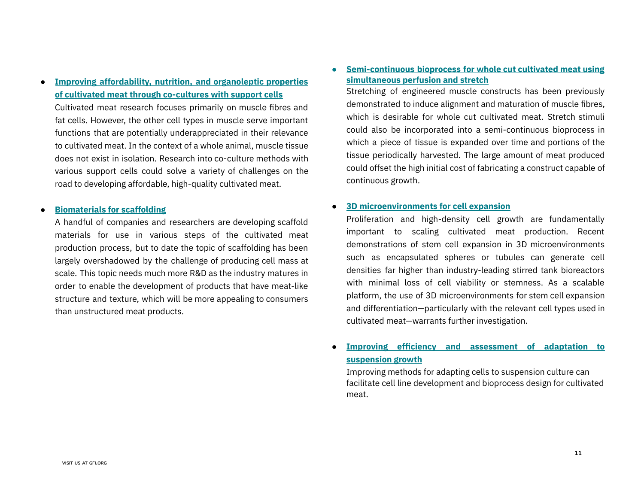## **● Improving [affordability,](https://gfi.org/solutions/cultivated-meat-support-cells/) nutrition, and organoleptic properties of cultivated meat through [co-cultures](https://gfi.org/solutions/cultivated-meat-support-cells/) with support cells**

Cultivated meat research focuses primarily on muscle fibres and fat cells. However, the other cell types in muscle serve important functions that are potentially underappreciated in their relevance to cultivated meat. In the context of a whole animal, muscle tissue does not exist in isolation. Research into co-culture methods with various support cells could solve a variety of challenges on the road to developing affordable, high-quality cultivated meat.

#### **● [Biomaterials](https://gfi.org/solutions/biomaterials-for-scaffolding/) for scaffolding**

A handful of companies and researchers are developing scaffold materials for use in various steps of the cultivated meat production process, but to date the topic of scaffolding has been largely overshadowed by the challenge of producing cell mass at scale. This topic needs much more R&D as the industry matures in order to enable the development of products that have meat-like structure and texture, which will be more appealing to consumers than unstructured meat products.

### **● [Semi-continuous](https://gfi.org/solutions/simultaneous-perfusion-and-stretch/) bioprocess for whole cut cultivated meat using [simultaneous](https://gfi.org/solutions/simultaneous-perfusion-and-stretch/) perfusion and stretch**

Stretching of engineered muscle constructs has been previously demonstrated to induce alignment and maturation of muscle fibres, which is desirable for whole cut cultivated meat. Stretch stimuli could also be incorporated into a semi-continuous bioprocess in which a piece of tissue is expanded over time and portions of the tissue periodically harvested. The large amount of meat produced could offset the high initial cost of fabricating a construct capable of continuous growth.

#### **● 3D [microenvironments](https://gfi.org/solutions/3d-microenvironments-for-cell-expansion/) for cell expansion**

Proliferation and high-density cell growth are fundamentally important to scaling cultivated meat production. Recent demonstrations of stem cell expansion in 3D microenvironments such as encapsulated spheres or tubules can generate cell densities far higher than industry-leading stirred tank bioreactors with minimal loss of cell viability or stemness. As a scalable platform, the use of 3D microenvironments for stem cell expansion and differentiation—particularly with the relevant cell types used in cultivated meat—warrants further investigation.

## **● Improving efficiency and [assessment](https://gfi.org/solutions/improving-efficiency-and-assessment-of-adaptation-to-suspension-growth/) of adaptation to [suspension](https://gfi.org/solutions/improving-efficiency-and-assessment-of-adaptation-to-suspension-growth/) growth**

Improving methods for adapting cells to suspension culture can facilitate cell line development and bioprocess design for cultivated meat.